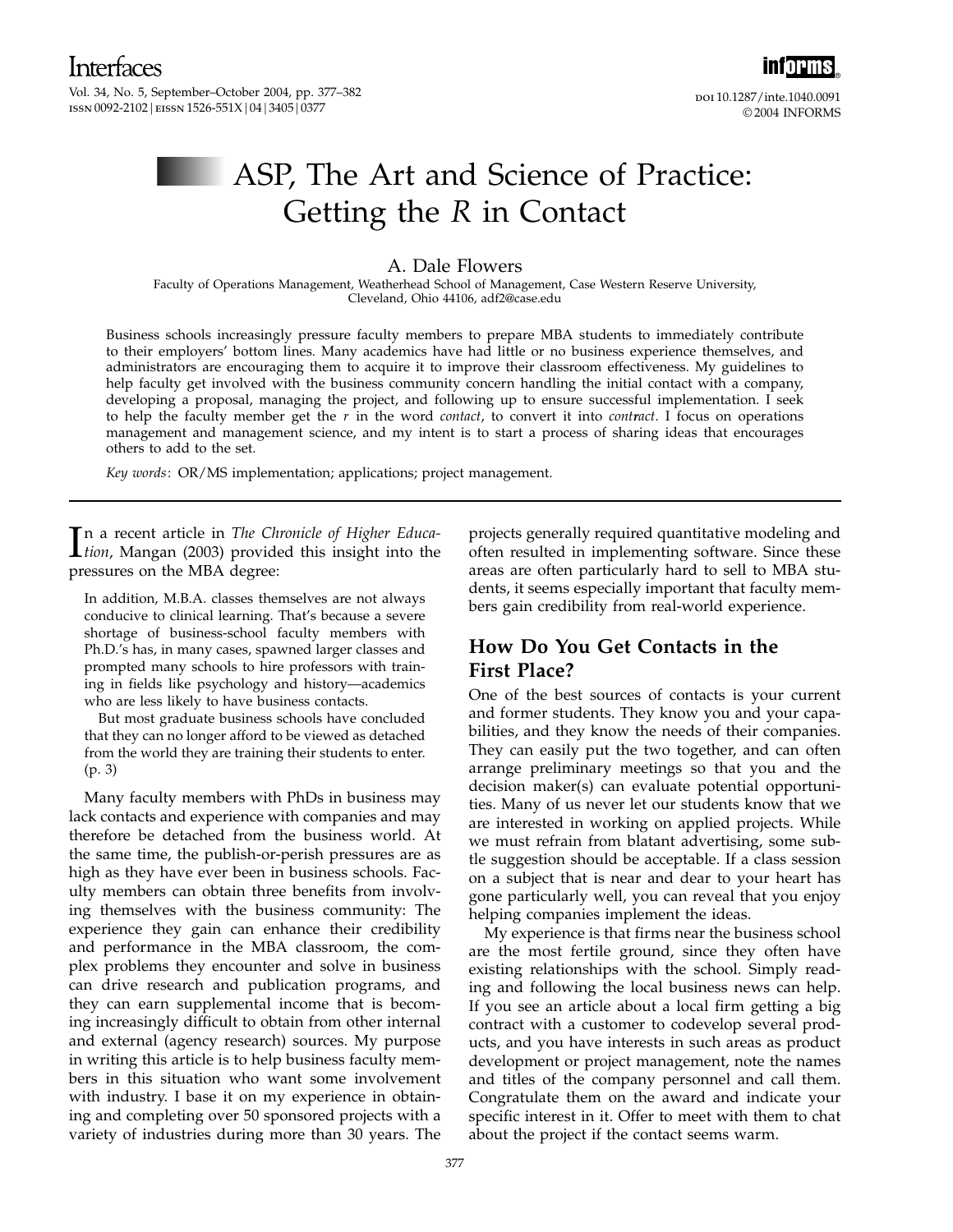Vol. 34, No. 5, September–October 2004, pp. 377–382 ISSN 0092-2102 | EISSN 1526-551X | 04 | 3405 | 0377



doi 10.1287/inte.1040.0091 ©2004 INFORMS

# ASP, The Art and Science of Practice: Getting the R in Contact

#### A. Dale Flowers

Faculty of Operations Management, Weatherhead School of Management, Case Western Reserve University, Cleveland, Ohio 44106, adf2@case.edu

Business schools increasingly pressure faculty members to prepare MBA students to immediately contribute to their employers' bottom lines. Many academics have had little or no business experience themselves, and administrators are encouraging them to acquire it to improve their classroom effectiveness. My guidelines to help faculty get involved with the business community concern handling the initial contact with a company, developing a proposal, managing the project, and following up to ensure successful implementation. I seek to help the faculty member get the  $r$  in the word *contact*, to convert it into *contract*. I focus on operations management and management science, and my intent is to start a process of sharing ideas that encourages others to add to the set.

Key words: OR/MS implementation; applications; project management.

In a recent article in *The Chronicle of Higher Education*, Mangan (2003) provided this insight into the tion, Mangan (2003) provided this insight into the pressures on the MBA degree:

In addition, M.B.A. classes themselves are not always conducive to clinical learning. That's because a severe shortage of business-school faculty members with Ph.D.'s has, in many cases, spawned larger classes and prompted many schools to hire professors with training in fields like psychology and history—academics who are less likely to have business contacts.

But most graduate business schools have concluded that they can no longer afford to be viewed as detached from the world they are training their students to enter. (p. 3)

Many faculty members with PhDs in business may lack contacts and experience with companies and may therefore be detached from the business world. At the same time, the publish-or-perish pressures are as high as they have ever been in business schools. Faculty members can obtain three benefits from involving themselves with the business community: The experience they gain can enhance their credibility and performance in the MBA classroom, the complex problems they encounter and solve in business can drive research and publication programs, and they can earn supplemental income that is becoming increasingly difficult to obtain from other internal and external (agency research) sources. My purpose in writing this article is to help business faculty members in this situation who want some involvement with industry. I base it on my experience in obtaining and completing over 50 sponsored projects with a variety of industries during more than 30 years. The

projects generally required quantitative modeling and often resulted in implementing software. Since these areas are often particularly hard to sell to MBA students, it seems especially important that faculty members gain credibility from real-world experience.

# How Do You Get Contacts in the First Place?

One of the best sources of contacts is your current and former students. They know you and your capabilities, and they know the needs of their companies. They can easily put the two together, and can often arrange preliminary meetings so that you and the decision maker(s) can evaluate potential opportunities. Many of us never let our students know that we are interested in working on applied projects. While we must refrain from blatant advertising, some subtle suggestion should be acceptable. If a class session on a subject that is near and dear to your heart has gone particularly well, you can reveal that you enjoy helping companies implement the ideas.

My experience is that firms near the business school are the most fertile ground, since they often have existing relationships with the school. Simply reading and following the local business news can help. If you see an article about a local firm getting a big contract with a customer to codevelop several products, and you have interests in such areas as product development or project management, note the names and titles of the company personnel and call them. Congratulate them on the award and indicate your specific interest in it. Offer to meet with them to chat about the project if the contact seems warm.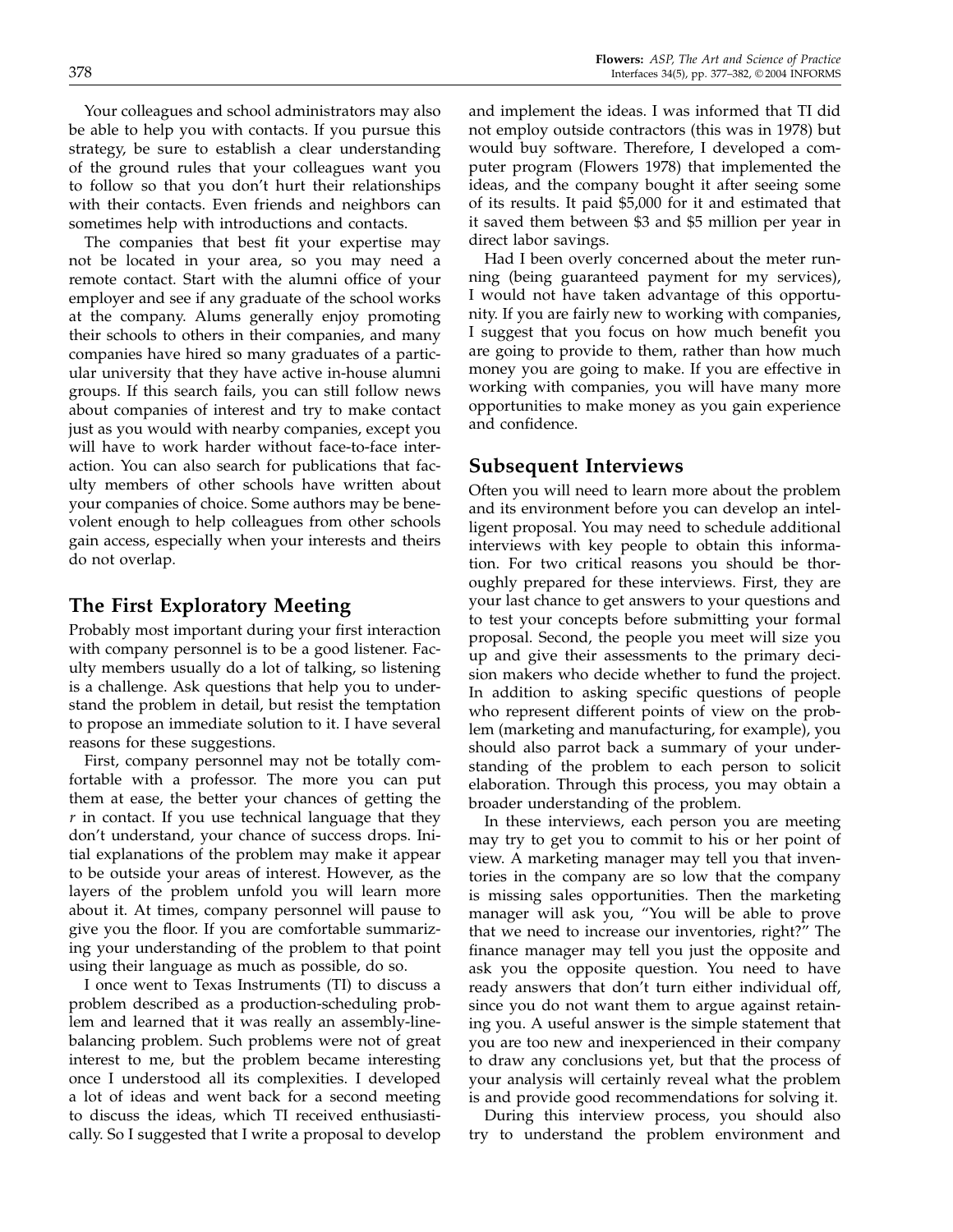Your colleagues and school administrators may also be able to help you with contacts. If you pursue this strategy, be sure to establish a clear understanding of the ground rules that your colleagues want you to follow so that you don't hurt their relationships with their contacts. Even friends and neighbors can sometimes help with introductions and contacts.

The companies that best fit your expertise may not be located in your area, so you may need a remote contact. Start with the alumni office of your employer and see if any graduate of the school works at the company. Alums generally enjoy promoting their schools to others in their companies, and many companies have hired so many graduates of a particular university that they have active in-house alumni groups. If this search fails, you can still follow news about companies of interest and try to make contact just as you would with nearby companies, except you will have to work harder without face-to-face interaction. You can also search for publications that faculty members of other schools have written about your companies of choice. Some authors may be benevolent enough to help colleagues from other schools gain access, especially when your interests and theirs do not overlap.

# The First Exploratory Meeting

Probably most important during your first interaction with company personnel is to be a good listener. Faculty members usually do a lot of talking, so listening is a challenge. Ask questions that help you to understand the problem in detail, but resist the temptation to propose an immediate solution to it. I have several reasons for these suggestions.

First, company personnel may not be totally comfortable with a professor. The more you can put them at ease, the better your chances of getting the  $r$  in contact. If you use technical language that they don't understand, your chance of success drops. Initial explanations of the problem may make it appear to be outside your areas of interest. However, as the layers of the problem unfold you will learn more about it. At times, company personnel will pause to give you the floor. If you are comfortable summarizing your understanding of the problem to that point using their language as much as possible, do so.

I once went to Texas Instruments (TI) to discuss a problem described as a production-scheduling problem and learned that it was really an assembly-linebalancing problem. Such problems were not of great interest to me, but the problem became interesting once I understood all its complexities. I developed a lot of ideas and went back for a second meeting to discuss the ideas, which TI received enthusiastically. So I suggested that I write a proposal to develop

and implement the ideas. I was informed that TI did not employ outside contractors (this was in 1978) but would buy software. Therefore, I developed a computer program (Flowers 1978) that implemented the ideas, and the company bought it after seeing some of its results. It paid \$5,000 for it and estimated that it saved them between \$3 and \$5 million per year in direct labor savings.

Had I been overly concerned about the meter running (being guaranteed payment for my services), I would not have taken advantage of this opportunity. If you are fairly new to working with companies, I suggest that you focus on how much benefit you are going to provide to them, rather than how much money you are going to make. If you are effective in working with companies, you will have many more opportunities to make money as you gain experience and confidence.

## Subsequent Interviews

Often you will need to learn more about the problem and its environment before you can develop an intelligent proposal. You may need to schedule additional interviews with key people to obtain this information. For two critical reasons you should be thoroughly prepared for these interviews. First, they are your last chance to get answers to your questions and to test your concepts before submitting your formal proposal. Second, the people you meet will size you up and give their assessments to the primary decision makers who decide whether to fund the project. In addition to asking specific questions of people who represent different points of view on the problem (marketing and manufacturing, for example), you should also parrot back a summary of your understanding of the problem to each person to solicit elaboration. Through this process, you may obtain a broader understanding of the problem.

In these interviews, each person you are meeting may try to get you to commit to his or her point of view. A marketing manager may tell you that inventories in the company are so low that the company is missing sales opportunities. Then the marketing manager will ask you, "You will be able to prove that we need to increase our inventories, right?" The finance manager may tell you just the opposite and ask you the opposite question. You need to have ready answers that don't turn either individual off, since you do not want them to argue against retaining you. A useful answer is the simple statement that you are too new and inexperienced in their company to draw any conclusions yet, but that the process of your analysis will certainly reveal what the problem is and provide good recommendations for solving it.

During this interview process, you should also try to understand the problem environment and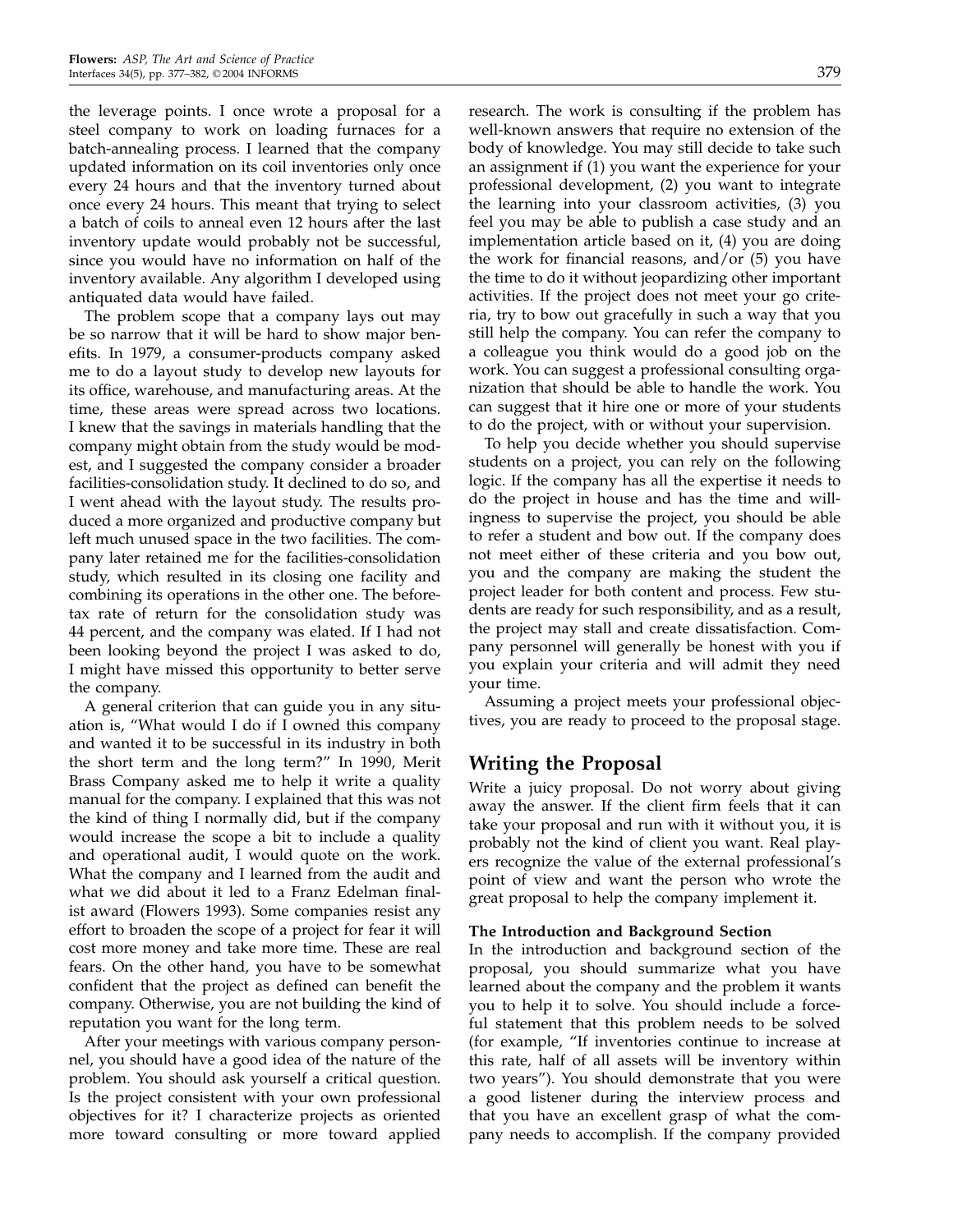the leverage points. I once wrote a proposal for a steel company to work on loading furnaces for a batch-annealing process. I learned that the company updated information on its coil inventories only once every 24 hours and that the inventory turned about once every 24 hours. This meant that trying to select a batch of coils to anneal even 12 hours after the last inventory update would probably not be successful, since you would have no information on half of the inventory available. Any algorithm I developed using antiquated data would have failed.

The problem scope that a company lays out may be so narrow that it will be hard to show major benefits. In 1979, a consumer-products company asked me to do a layout study to develop new layouts for its office, warehouse, and manufacturing areas. At the time, these areas were spread across two locations. I knew that the savings in materials handling that the company might obtain from the study would be modest, and I suggested the company consider a broader facilities-consolidation study. It declined to do so, and I went ahead with the layout study. The results produced a more organized and productive company but left much unused space in the two facilities. The company later retained me for the facilities-consolidation study, which resulted in its closing one facility and combining its operations in the other one. The beforetax rate of return for the consolidation study was 44 percent, and the company was elated. If I had not been looking beyond the project I was asked to do, I might have missed this opportunity to better serve the company.

A general criterion that can guide you in any situation is, "What would I do if I owned this company and wanted it to be successful in its industry in both the short term and the long term?" In 1990, Merit Brass Company asked me to help it write a quality manual for the company. I explained that this was not the kind of thing I normally did, but if the company would increase the scope a bit to include a quality and operational audit, I would quote on the work. What the company and I learned from the audit and what we did about it led to a Franz Edelman finalist award (Flowers 1993). Some companies resist any effort to broaden the scope of a project for fear it will cost more money and take more time. These are real fears. On the other hand, you have to be somewhat confident that the project as defined can benefit the company. Otherwise, you are not building the kind of reputation you want for the long term.

After your meetings with various company personnel, you should have a good idea of the nature of the problem. You should ask yourself a critical question. Is the project consistent with your own professional objectives for it? I characterize projects as oriented more toward consulting or more toward applied

research. The work is consulting if the problem has well-known answers that require no extension of the body of knowledge. You may still decide to take such an assignment if (1) you want the experience for your professional development, (2) you want to integrate the learning into your classroom activities, (3) you feel you may be able to publish a case study and an implementation article based on it, (4) you are doing the work for financial reasons, and/or (5) you have the time to do it without jeopardizing other important activities. If the project does not meet your go criteria, try to bow out gracefully in such a way that you still help the company. You can refer the company to a colleague you think would do a good job on the work. You can suggest a professional consulting organization that should be able to handle the work. You can suggest that it hire one or more of your students to do the project, with or without your supervision.

To help you decide whether you should supervise students on a project, you can rely on the following logic. If the company has all the expertise it needs to do the project in house and has the time and willingness to supervise the project, you should be able to refer a student and bow out. If the company does not meet either of these criteria and you bow out, you and the company are making the student the project leader for both content and process. Few students are ready for such responsibility, and as a result, the project may stall and create dissatisfaction. Company personnel will generally be honest with you if you explain your criteria and will admit they need your time.

Assuming a project meets your professional objectives, you are ready to proceed to the proposal stage.

# Writing the Proposal

Write a juicy proposal. Do not worry about giving away the answer. If the client firm feels that it can take your proposal and run with it without you, it is probably not the kind of client you want. Real players recognize the value of the external professional's point of view and want the person who wrote the great proposal to help the company implement it.

#### The Introduction and Background Section

In the introduction and background section of the proposal, you should summarize what you have learned about the company and the problem it wants you to help it to solve. You should include a forceful statement that this problem needs to be solved (for example, "If inventories continue to increase at this rate, half of all assets will be inventory within two years"). You should demonstrate that you were a good listener during the interview process and that you have an excellent grasp of what the company needs to accomplish. If the company provided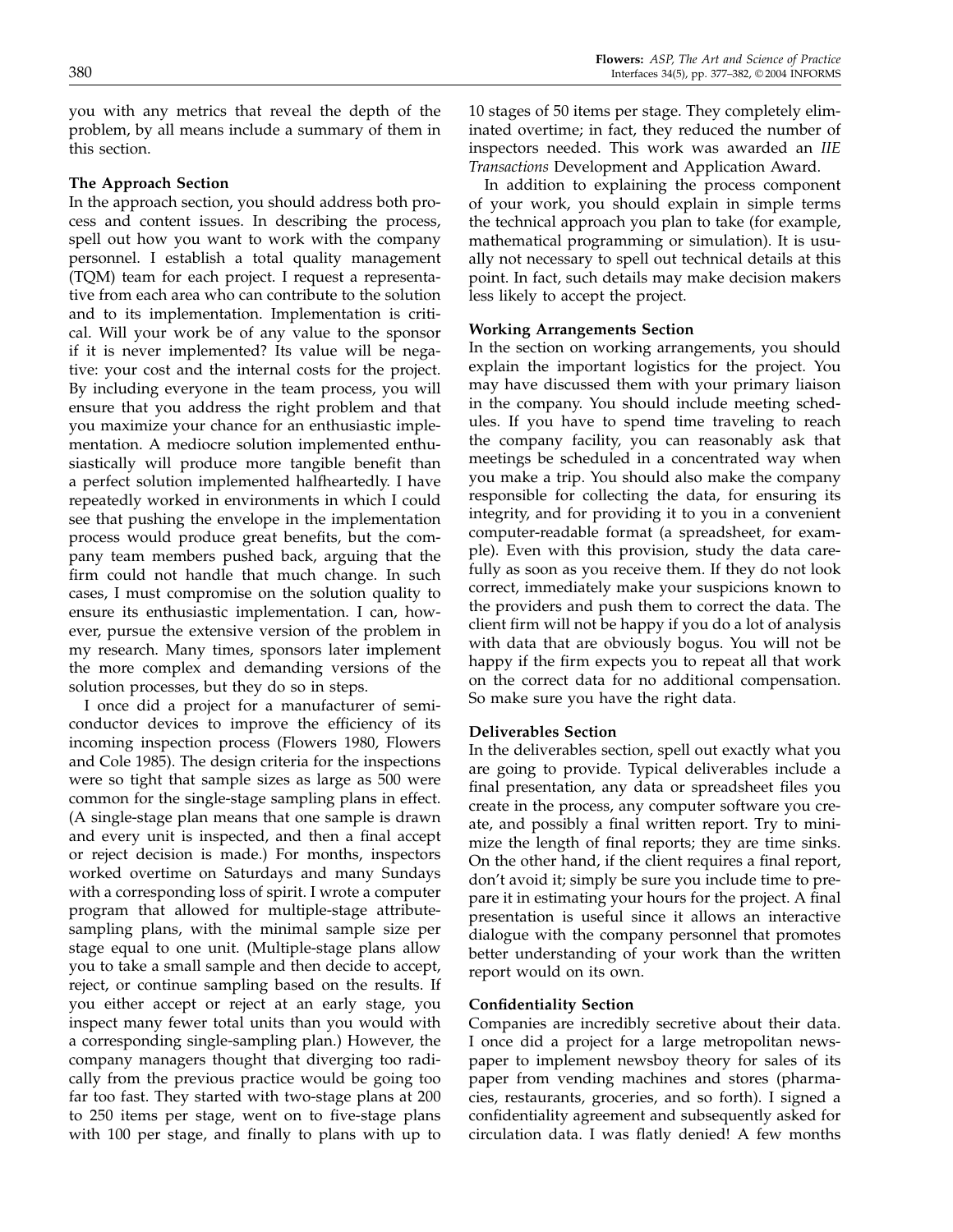#### The Approach Section

In the approach section, you should address both process and content issues. In describing the process, spell out how you want to work with the company personnel. I establish a total quality management (TQM) team for each project. I request a representative from each area who can contribute to the solution and to its implementation. Implementation is critical. Will your work be of any value to the sponsor if it is never implemented? Its value will be negative: your cost and the internal costs for the project. By including everyone in the team process, you will ensure that you address the right problem and that you maximize your chance for an enthusiastic implementation. A mediocre solution implemented enthusiastically will produce more tangible benefit than a perfect solution implemented halfheartedly. I have repeatedly worked in environments in which I could see that pushing the envelope in the implementation process would produce great benefits, but the company team members pushed back, arguing that the firm could not handle that much change. In such cases, I must compromise on the solution quality to ensure its enthusiastic implementation. I can, however, pursue the extensive version of the problem in my research. Many times, sponsors later implement the more complex and demanding versions of the solution processes, but they do so in steps.

I once did a project for a manufacturer of semiconductor devices to improve the efficiency of its incoming inspection process (Flowers 1980, Flowers and Cole 1985). The design criteria for the inspections were so tight that sample sizes as large as 500 were common for the single-stage sampling plans in effect. (A single-stage plan means that one sample is drawn and every unit is inspected, and then a final accept or reject decision is made.) For months, inspectors worked overtime on Saturdays and many Sundays with a corresponding loss of spirit. I wrote a computer program that allowed for multiple-stage attributesampling plans, with the minimal sample size per stage equal to one unit. (Multiple-stage plans allow you to take a small sample and then decide to accept, reject, or continue sampling based on the results. If you either accept or reject at an early stage, you inspect many fewer total units than you would with a corresponding single-sampling plan.) However, the company managers thought that diverging too radically from the previous practice would be going too far too fast. They started with two-stage plans at 200 to 250 items per stage, went on to five-stage plans with 100 per stage, and finally to plans with up to

10 stages of 50 items per stage. They completely eliminated overtime; in fact, they reduced the number of inspectors needed. This work was awarded an IIE Transactions Development and Application Award.

In addition to explaining the process component of your work, you should explain in simple terms the technical approach you plan to take (for example, mathematical programming or simulation). It is usually not necessary to spell out technical details at this point. In fact, such details may make decision makers less likely to accept the project.

#### Working Arrangements Section

In the section on working arrangements, you should explain the important logistics for the project. You may have discussed them with your primary liaison in the company. You should include meeting schedules. If you have to spend time traveling to reach the company facility, you can reasonably ask that meetings be scheduled in a concentrated way when you make a trip. You should also make the company responsible for collecting the data, for ensuring its integrity, and for providing it to you in a convenient computer-readable format (a spreadsheet, for example). Even with this provision, study the data carefully as soon as you receive them. If they do not look correct, immediately make your suspicions known to the providers and push them to correct the data. The client firm will not be happy if you do a lot of analysis with data that are obviously bogus. You will not be happy if the firm expects you to repeat all that work on the correct data for no additional compensation. So make sure you have the right data.

#### Deliverables Section

In the deliverables section, spell out exactly what you are going to provide. Typical deliverables include a final presentation, any data or spreadsheet files you create in the process, any computer software you create, and possibly a final written report. Try to minimize the length of final reports; they are time sinks. On the other hand, if the client requires a final report, don't avoid it; simply be sure you include time to prepare it in estimating your hours for the project. A final presentation is useful since it allows an interactive dialogue with the company personnel that promotes better understanding of your work than the written report would on its own.

#### Confidentiality Section

Companies are incredibly secretive about their data. I once did a project for a large metropolitan newspaper to implement newsboy theory for sales of its paper from vending machines and stores (pharmacies, restaurants, groceries, and so forth). I signed a confidentiality agreement and subsequently asked for circulation data. I was flatly denied! A few months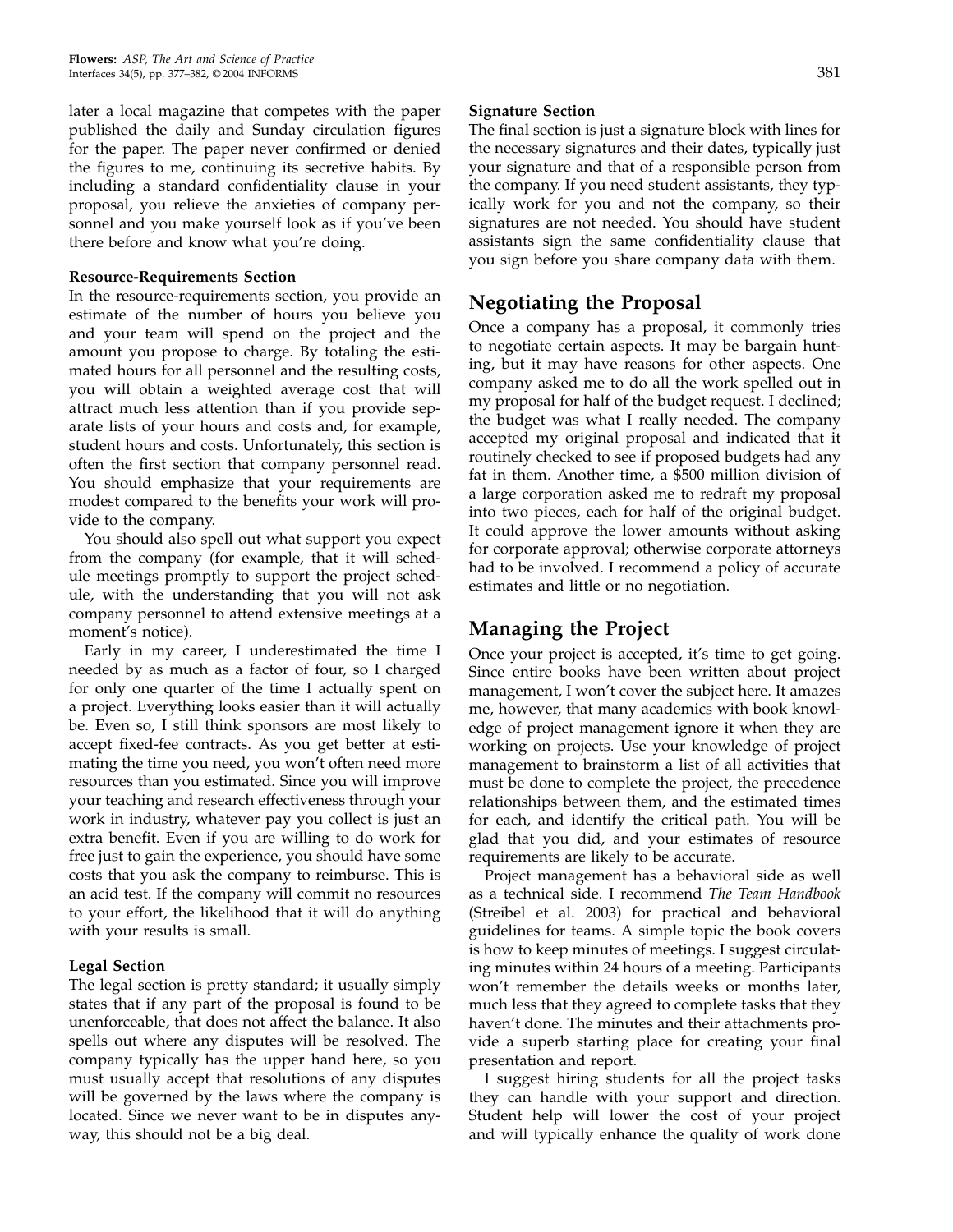later a local magazine that competes with the paper published the daily and Sunday circulation figures for the paper. The paper never confirmed or denied the figures to me, continuing its secretive habits. By including a standard confidentiality clause in your proposal, you relieve the anxieties of company personnel and you make yourself look as if you've been there before and know what you're doing.

#### Resource-Requirements Section

In the resource-requirements section, you provide an estimate of the number of hours you believe you and your team will spend on the project and the amount you propose to charge. By totaling the estimated hours for all personnel and the resulting costs, you will obtain a weighted average cost that will attract much less attention than if you provide separate lists of your hours and costs and, for example, student hours and costs. Unfortunately, this section is often the first section that company personnel read. You should emphasize that your requirements are modest compared to the benefits your work will provide to the company.

You should also spell out what support you expect from the company (for example, that it will schedule meetings promptly to support the project schedule, with the understanding that you will not ask company personnel to attend extensive meetings at a moment's notice).

Early in my career, I underestimated the time I needed by as much as a factor of four, so I charged for only one quarter of the time I actually spent on a project. Everything looks easier than it will actually be. Even so, I still think sponsors are most likely to accept fixed-fee contracts. As you get better at estimating the time you need, you won't often need more resources than you estimated. Since you will improve your teaching and research effectiveness through your work in industry, whatever pay you collect is just an extra benefit. Even if you are willing to do work for free just to gain the experience, you should have some costs that you ask the company to reimburse. This is an acid test. If the company will commit no resources to your effort, the likelihood that it will do anything with your results is small.

#### Legal Section

The legal section is pretty standard; it usually simply states that if any part of the proposal is found to be unenforceable, that does not affect the balance. It also spells out where any disputes will be resolved. The company typically has the upper hand here, so you must usually accept that resolutions of any disputes will be governed by the laws where the company is located. Since we never want to be in disputes anyway, this should not be a big deal.

#### Signature Section

The final section is just a signature block with lines for the necessary signatures and their dates, typically just your signature and that of a responsible person from the company. If you need student assistants, they typically work for you and not the company, so their signatures are not needed. You should have student assistants sign the same confidentiality clause that you sign before you share company data with them.

## Negotiating the Proposal

Once a company has a proposal, it commonly tries to negotiate certain aspects. It may be bargain hunting, but it may have reasons for other aspects. One company asked me to do all the work spelled out in my proposal for half of the budget request. I declined; the budget was what I really needed. The company accepted my original proposal and indicated that it routinely checked to see if proposed budgets had any fat in them. Another time, a \$500 million division of a large corporation asked me to redraft my proposal into two pieces, each for half of the original budget. It could approve the lower amounts without asking for corporate approval; otherwise corporate attorneys had to be involved. I recommend a policy of accurate estimates and little or no negotiation.

## Managing the Project

Once your project is accepted, it's time to get going. Since entire books have been written about project management, I won't cover the subject here. It amazes me, however, that many academics with book knowledge of project management ignore it when they are working on projects. Use your knowledge of project management to brainstorm a list of all activities that must be done to complete the project, the precedence relationships between them, and the estimated times for each, and identify the critical path. You will be glad that you did, and your estimates of resource requirements are likely to be accurate.

Project management has a behavioral side as well as a technical side. I recommend The Team Handbook (Streibel et al. 2003) for practical and behavioral guidelines for teams. A simple topic the book covers is how to keep minutes of meetings. I suggest circulating minutes within 24 hours of a meeting. Participants won't remember the details weeks or months later, much less that they agreed to complete tasks that they haven't done. The minutes and their attachments provide a superb starting place for creating your final presentation and report.

I suggest hiring students for all the project tasks they can handle with your support and direction. Student help will lower the cost of your project and will typically enhance the quality of work done